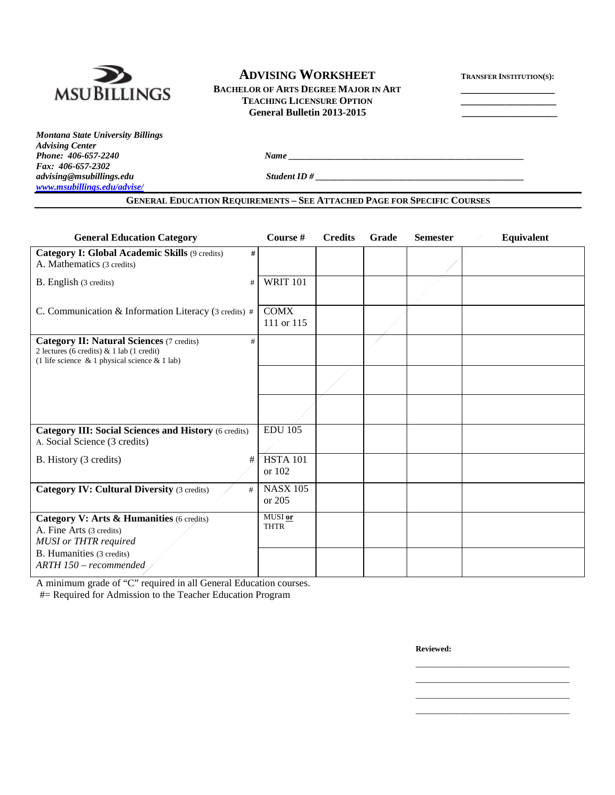

## **ADVISING WORKSHEET**

BACHELOR OF ARTS DEGREE MAJOR IN ART **TEACHING LICENSURE OPTION \_\_\_\_\_\_\_\_\_\_\_\_\_\_\_\_\_\_\_ General Bulletin 2013-2015 \_\_\_\_\_\_\_\_\_\_\_\_\_\_\_\_\_\_\_** 

|  | <b>TRANSFER INSTITUTION(S):</b> |
|--|---------------------------------|
|--|---------------------------------|

*Montana State University Billings Advising Center Fax: 406-657-2302 [www.msubillings.edu/advise/](http://www.msubillings.edu/advise/)*

*advising@msubillings.edu Student ID # \_\_\_\_\_\_\_\_\_\_\_\_\_\_\_\_\_\_\_\_\_\_\_\_\_\_\_\_\_\_\_\_\_\_\_\_\_\_\_\_\_\_\_\_\_\_*

### **GENERAL EDUCATION REQUIREMENTS – SEE ATTACHED PAGE FOR SPECIFIC COURSES**

*Phone: 406-657-2240 Name*  $\frac{1}{2}$  *Name*  $\frac{1}{2}$  *Name*  $\frac{1}{2}$  *Name*  $\frac{1}{2}$  *Name*  $\frac{1}{2}$  *Name*  $\frac{1}{2}$  *Name*  $\frac{1}{2}$  *Name*  $\frac{1}{2}$  *Name*  $\frac{1}{2}$  *Name*  $\frac{1}{2}$  *Name*  $\frac{1}{2}$  *Name*  $\frac{1}{$ 

| <b>General Education Category</b>                                                                                                                         | Course #                    | <b>Credits</b> | Grade | <b>Semester</b> | Equivalent |
|-----------------------------------------------------------------------------------------------------------------------------------------------------------|-----------------------------|----------------|-------|-----------------|------------|
| Category I: Global Academic Skills (9 credits)<br>#<br>A. Mathematics (3 credits)                                                                         |                             |                |       |                 |            |
| B. English (3 credits)<br>#                                                                                                                               | <b>WRIT 101</b>             |                |       |                 |            |
| C. Communication & Information Literacy (3 credits) #                                                                                                     | <b>COMX</b><br>111 or 115   |                |       |                 |            |
| <b>Category II: Natural Sciences (7 credits)</b><br>#<br>2 lectures (6 credits) & 1 lab (1 credit)<br>(1 life science $\&$ 1 physical science $\&$ 1 lab) |                             |                |       |                 |            |
|                                                                                                                                                           |                             |                |       |                 |            |
|                                                                                                                                                           |                             |                |       |                 |            |
| <b>Category III: Social Sciences and History (6 credits)</b><br>A. Social Science (3 credits)                                                             | <b>EDU 105</b>              |                |       |                 |            |
| B. History (3 credits)<br>#                                                                                                                               | <b>HSTA 101</b><br>or 102   |                |       |                 |            |
| <b>Category IV: Cultural Diversity (3 credits)</b><br>#                                                                                                   | <b>NASX 105</b><br>or $205$ |                |       |                 |            |
| Category V: Arts & Humanities (6 credits)<br>A. Fine Arts (3 credits)<br><b>MUSI</b> or THTR required                                                     | MUSI or<br><b>THTR</b>      |                |       |                 |            |
| B. Humanities (3 credits)<br>ARTH 150 - recommended                                                                                                       |                             |                |       |                 |            |

A minimum grade of "C" required in all General Education courses.

#= Required for Admission to the Teacher Education Program

**Reviewed:**

\_\_\_\_\_\_\_\_\_\_\_\_\_\_\_\_\_\_\_\_\_\_\_\_\_\_\_\_\_\_\_\_\_\_ \_\_\_\_\_\_\_\_\_\_\_\_\_\_\_\_\_\_\_\_\_\_\_\_\_\_\_\_\_\_\_\_\_\_ \_\_\_\_\_\_\_\_\_\_\_\_\_\_\_\_\_\_\_\_\_\_\_\_\_\_\_\_\_\_\_\_\_\_ \_\_\_\_\_\_\_\_\_\_\_\_\_\_\_\_\_\_\_\_\_\_\_\_\_\_\_\_\_\_\_\_\_\_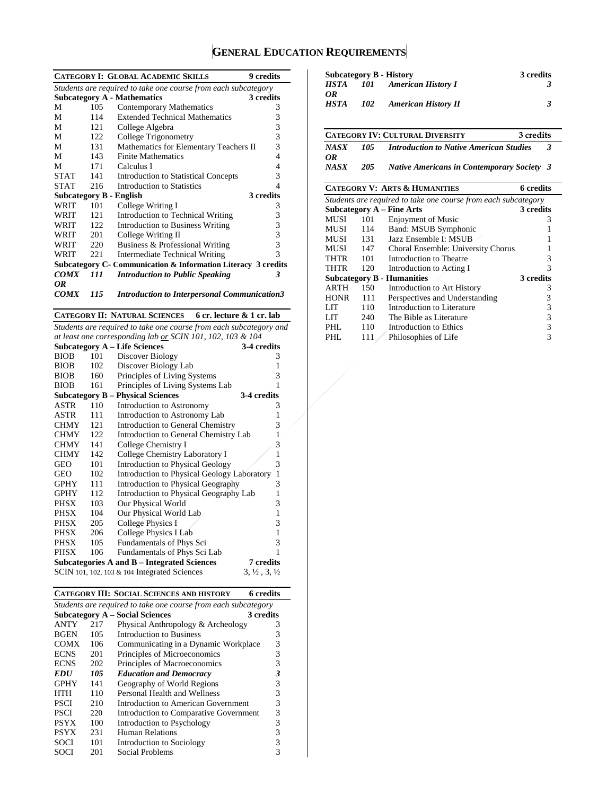# **GENERAL EDUCATION REQUIREMENTS**

|             |      | <b>CATEGORY I: GLOBAL ACADEMIC SKILLS</b>                      | <b>9</b> credits |
|-------------|------|----------------------------------------------------------------|------------------|
|             |      | Students are required to take one course from each subcategory |                  |
|             |      | <b>Subcategory A - Mathematics</b>                             | 3 credits        |
| M           | 105  | <b>Contemporary Mathematics</b>                                | 3                |
| М           | 114  | <b>Extended Technical Mathematics</b>                          | 3                |
| М           | 121  | College Algebra                                                | 3                |
| М           | 122  | College Trigonometry                                           | 3                |
| М           | 131  | Mathematics for Elementary Teachers II                         | 3                |
| М           | 143  | <b>Finite Mathematics</b>                                      | 4                |
| М           | 171  | Calculus I                                                     | 4                |
| <b>STAT</b> | 141  | Introduction to Statistical Concepts                           | 3                |
| <b>STAT</b> | 216  | Introduction to Statistics                                     | $\overline{4}$   |
|             |      | Subcategory B - English                                        | 3 credits        |
| <b>WRIT</b> | 101  | College Writing I                                              | 3                |
| WRIT        | 121  | Introduction to Technical Writing                              | 3                |
| WRIT        | 122. | Introduction to Business Writing                               | 3                |
| WRIT        | 201  | College Writing II                                             | 3                |
| WRIT        | 220  | Business & Professional Writing                                | 3                |
| <b>WRIT</b> | 221  | Intermediate Technical Writing                                 | 3                |
|             |      | Subcategory C- Communication & Information Literacy 3 credits  |                  |
| <b>COMX</b> | 111  | <b>Introduction to Public Speaking</b>                         | 3                |
| OR          |      |                                                                |                  |
| <b>COMX</b> | 115  | <b>Introduction to Interpersonal Communication3</b>            |                  |

**CATEGORY II: NATURAL SCIENCES 6 cr. lecture & 1 cr. lab**

*Students are required to take one course from each subcategory and at least one corresponding lab or SCIN 101, 102, 103 & 104*

| $\frac{1}{2}$ |     |                                              |                                  |  |  |
|---------------|-----|----------------------------------------------|----------------------------------|--|--|
|               |     | <b>Subcategory A - Life Sciences</b>         | 3-4 credits                      |  |  |
| <b>BIOB</b>   | 101 | Discover Biology                             | 3                                |  |  |
| <b>BIOB</b>   | 102 | Discover Biology Lab                         | 1                                |  |  |
| <b>BIOB</b>   | 160 | Principles of Living Systems                 | 3                                |  |  |
| <b>BIOB</b>   | 161 | Principles of Living Systems Lab             | 1                                |  |  |
|               |     | <b>Subcategory B – Physical Sciences</b>     | 3-4 credits                      |  |  |
| <b>ASTR</b>   | 110 | Introduction to Astronomy                    | 3                                |  |  |
| ASTR          | 111 | Introduction to Astronomy Lab                | 1                                |  |  |
| <b>CHMY</b>   | 121 | Introduction to General Chemistry            | 3                                |  |  |
| <b>CHMY</b>   | 122 | Introduction to General Chemistry Lab        |                                  |  |  |
| <b>CHMY</b>   | 141 | College Chemistry I                          | 3                                |  |  |
| <b>CHMY</b>   | 142 | College Chemistry Laboratory I               | 1                                |  |  |
| <b>GEO</b>    | 101 | <b>Introduction to Physical Geology</b>      | 3                                |  |  |
| GEO           | 102 | Introduction to Physical Geology Laboratory  | 1                                |  |  |
| <b>GPHY</b>   | 111 | Introduction to Physical Geography           | 3                                |  |  |
| <b>GPHY</b>   | 112 | Introduction to Physical Geography Lab       | 1                                |  |  |
| PHSX          | 103 | Our Physical World                           | 3                                |  |  |
| PHSX          | 104 | Our Physical World Lab                       | 1                                |  |  |
| <b>PHSX</b>   | 205 | College Physics I                            | 3                                |  |  |
| PHSX          | 206 | College Physics I Lab                        | 1                                |  |  |
| <b>PHSX</b>   | 105 | Fundamentals of Phys Sci                     | 3                                |  |  |
| <b>PHSX</b>   | 106 | Fundamentals of Phys Sci Lab                 | 1                                |  |  |
|               |     | Subcategories A and B – Integrated Sciences  | 7 credits                        |  |  |
|               |     | SCIN 101, 102, 103 & 104 Integrated Sciences | $3, \frac{1}{2}, 3, \frac{1}{2}$ |  |  |
|               |     |                                              |                                  |  |  |

|             |     | <b>CATEGORY III: SOCIAL SCIENCES AND HISTORY</b>               | 6 credits |
|-------------|-----|----------------------------------------------------------------|-----------|
|             |     | Students are required to take one course from each subcategory |           |
|             |     | <b>Subcategory A – Social Sciences</b>                         | 3 credits |
| <b>ANTY</b> | 217 | Physical Anthropology & Archeology                             | 3         |
| <b>BGEN</b> | 105 | Introduction to Business                                       | 3         |
| <b>COMX</b> | 106 | Communicating in a Dynamic Workplace                           | 3         |
| <b>ECNS</b> | 201 | Principles of Microeconomics                                   | 3         |
| <b>ECNS</b> | 202 | Principles of Macroeconomics                                   | 3         |
| <i>EDU</i>  | 105 | <b>Education and Democracy</b>                                 | 3         |
| <b>GPHY</b> | 141 | Geography of World Regions                                     | 3         |
| HTH         | 110 | Personal Health and Wellness                                   | 3         |
| PSCI        | 210 | Introduction to American Government                            | 3         |
| PSCI        | 220 | Introduction to Comparative Government                         | 3         |
| <b>PSYX</b> | 100 | <b>Introduction to Psychology</b>                              | 3         |
| <b>PSYX</b> | 231 | Human Relations                                                | 3         |
| SOCI        | 101 | Introduction to Sociology                                      | 3         |
| SOCI        | 201 | Social Problems                                                | 3         |

|                   |     | Subcategory B - History    | 3 credits |
|-------------------|-----|----------------------------|-----------|
| HSTA              | 101 | <b>American History I</b>  |           |
| OR<br><b>HSTA</b> | 102 | <b>American History II</b> |           |

|                   |     | <b>CATEGORY IV: CULTURAL DIVERSITY</b><br>3 credits |              |
|-------------------|-----|-----------------------------------------------------|--------------|
| <b>NASX</b><br>OR | 105 | <b>Introduction to Native American Studies</b>      | $\mathbf{R}$ |
| <b>NASX</b>       | 205 | <b>Native Americans in Contemporary Society 3</b>   |              |

### **CATEGORY V: ARTS & HUMANITIES 6 credits**

| Students are required to take one course from each subcategory |     |                                    |           |  |  |  |
|----------------------------------------------------------------|-----|------------------------------------|-----------|--|--|--|
|                                                                |     | Subcategory $A$ – Fine Arts        | 3 credits |  |  |  |
| MUSI                                                           | 101 | <b>Enjoyment of Music</b>          |           |  |  |  |
| <b>MUSI</b>                                                    | 114 | Band: MSUB Symphonic               |           |  |  |  |
| MUSI                                                           | 131 | Jazz Ensemble I: MSUB              |           |  |  |  |
| MUSI                                                           | 147 | Choral Ensemble: University Chorus |           |  |  |  |
| <b>THTR</b>                                                    | 101 | Introduction to Theatre            | 3         |  |  |  |
| <b>THTR</b>                                                    | 120 | Introduction to Acting I           | 3         |  |  |  |
|                                                                |     | <b>Subcategory B - Humanities</b>  | 3 credits |  |  |  |
| ARTH                                                           | 150 | Introduction to Art History        | 3         |  |  |  |
| <b>HONR</b>                                                    | 111 | Perspectives and Understanding     | 3         |  |  |  |
| LIT                                                            | 110 | Introduction to Literature         | 3         |  |  |  |
| LIT                                                            | 240 | The Bible as Literature            | 3         |  |  |  |
| PHL                                                            | 110 | Introduction to Ethics             | 3         |  |  |  |
| PHL                                                            | 111 | Philosophies of Life               | 3         |  |  |  |
|                                                                |     |                                    |           |  |  |  |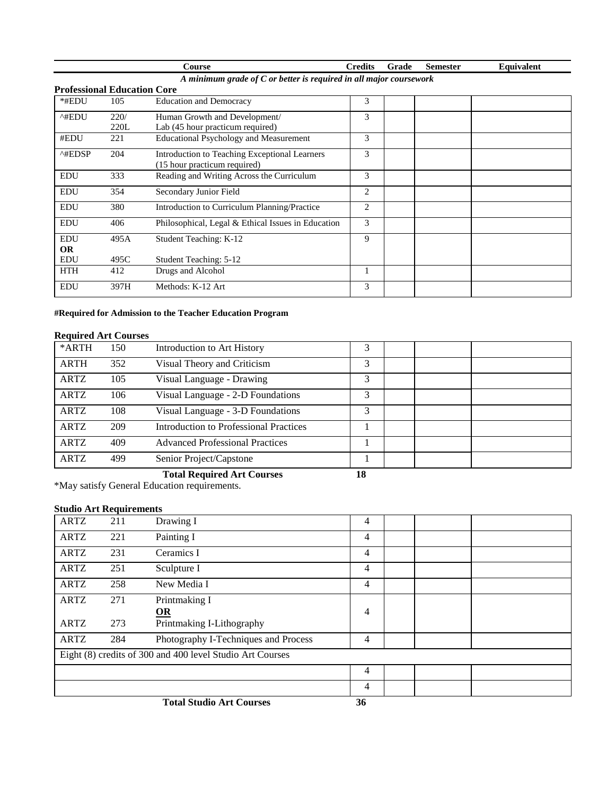|                                    |      | <b>Course</b>                                                        | <b>Credits</b> | Grade | <b>Semester</b> | Equivalent |
|------------------------------------|------|----------------------------------------------------------------------|----------------|-------|-----------------|------------|
|                                    |      | A minimum grade of $C$ or better is required in all major coursework |                |       |                 |            |
| <b>Professional Education Core</b> |      |                                                                      |                |       |                 |            |
| *#EDU                              | 105  | <b>Education and Democracy</b>                                       | 3              |       |                 |            |
| ^#EDU                              | 220/ | Human Growth and Development/                                        | 3              |       |                 |            |
|                                    | 220L | Lab (45 hour practicum required)                                     |                |       |                 |            |
| #EDU                               | 221  | <b>Educational Psychology and Measurement</b>                        | 3              |       |                 |            |
| $^{\wedge\text{HEDSP}}$            | 204  | Introduction to Teaching Exceptional Learners                        | 3              |       |                 |            |
|                                    |      | (15 hour practicum required)                                         |                |       |                 |            |
| <b>EDU</b>                         | 333  | Reading and Writing Across the Curriculum                            | 3              |       |                 |            |
| <b>EDU</b>                         | 354  | Secondary Junior Field                                               | $\overline{2}$ |       |                 |            |
| <b>EDU</b>                         | 380  | Introduction to Curriculum Planning/Practice                         | 2              |       |                 |            |
| <b>EDU</b>                         | 406  | Philosophical, Legal & Ethical Issues in Education                   | 3              |       |                 |            |
| <b>EDU</b>                         | 495A | Student Teaching: K-12                                               | 9              |       |                 |            |
| <b>OR</b>                          |      |                                                                      |                |       |                 |            |
| <b>EDU</b>                         | 495C | <b>Student Teaching: 5-12</b>                                        |                |       |                 |            |
| <b>HTH</b>                         | 412  | Drugs and Alcohol                                                    |                |       |                 |            |
| <b>EDU</b>                         | 397H | Methods: K-12 Art                                                    | 3              |       |                 |            |

### **#Required for Admission to the Teacher Education Program**

### **Required Art Courses**

| *ARTH       | 150 | Introduction to Art History                   | 3            |  |  |
|-------------|-----|-----------------------------------------------|--------------|--|--|
| <b>ARTH</b> | 352 | Visual Theory and Criticism                   | 3            |  |  |
| <b>ARTZ</b> | 105 | Visual Language - Drawing                     | 3            |  |  |
| ARTZ        | 106 | Visual Language - 2-D Foundations             | 3            |  |  |
| <b>ARTZ</b> | 108 | Visual Language - 3-D Foundations             | 3            |  |  |
| ARTZ        | 209 | <b>Introduction to Professional Practices</b> |              |  |  |
| ARTZ        | 409 | <b>Advanced Professional Practices</b>        |              |  |  |
| <b>ARTZ</b> | 499 | Senior Project/Capstone                       |              |  |  |
|             |     | $\mathbf{m}$ in the $\mathbf{m}$              | $\mathbf{A}$ |  |  |

### **Total Required Art Courses 18**

\*May satisfy General Education requirements.

### **Studio Art Requirements**

| <b>ARTZ</b> | 211 | Drawing I                                                 | 4              |  |  |
|-------------|-----|-----------------------------------------------------------|----------------|--|--|
| <b>ARTZ</b> | 221 | Painting I                                                | 4              |  |  |
| <b>ARTZ</b> | 231 | Ceramics I                                                | 4              |  |  |
| <b>ARTZ</b> | 251 | Sculpture I                                               | 4              |  |  |
| <b>ARTZ</b> | 258 | New Media I                                               | 4              |  |  |
| <b>ARTZ</b> | 271 | Printmaking I                                             |                |  |  |
|             |     | $\underline{\mathbf{OR}}$                                 | 4              |  |  |
| <b>ARTZ</b> | 273 | Printmaking I-Lithography                                 |                |  |  |
| <b>ARTZ</b> | 284 | Photography I-Techniques and Process                      | 4              |  |  |
|             |     | Eight (8) credits of 300 and 400 level Studio Art Courses |                |  |  |
|             |     |                                                           | 4              |  |  |
|             |     |                                                           | 4              |  |  |
|             |     | $T = 1$ $(1 - 1)$                                         | $\overline{f}$ |  |  |

**Total Studio Art Courses 36**